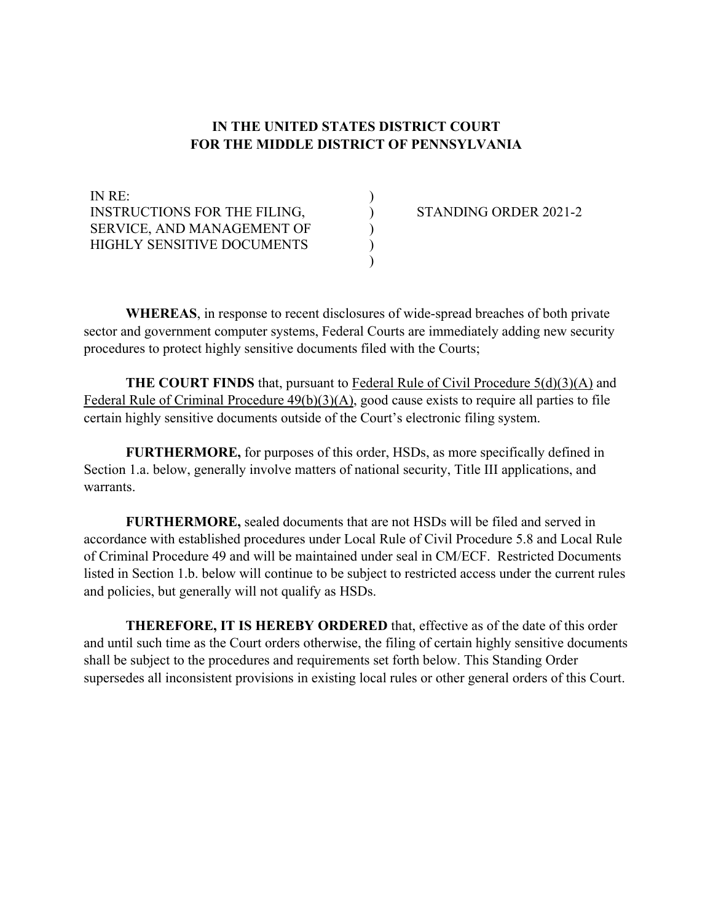## **IN THE UNITED STATES DISTRICT COURT FOR THE MIDDLE DISTRICT OF PENNSYLVANIA**

) ) ) ) )

IN RE: INSTRUCTIONS FOR THE FILING, SERVICE, AND MANAGEMENT OF HIGHLY SENSITIVE DOCUMENTS

STANDING ORDER 2021-2

**WHEREAS**, in response to recent disclosures of wide-spread breaches of both private sector and government computer systems, Federal Courts are immediately adding new security procedures to protect highly sensitive documents filed with the Courts;

**THE COURT FINDS** that, pursuant to [Federal Rule of Civil Procedure 5\(d\)\(3\)\(A\)](https://www.law.cornell.edu/rules/frcp/rule_5) and [Federal Rule of Criminal Procedure 49\(b\)\(3\)\(A\),](https://www.law.cornell.edu/rules/frcrmp/rule_49) good cause exists to require all parties to file certain highly sensitive documents outside of the Court's electronic filing system.

**FURTHERMORE,** for purposes of this order, HSDs, as more specifically defined in Section 1.a. below, generally involve matters of national security, Title III applications, and warrants.

**FURTHERMORE,** sealed documents that are not HSDs will be filed and served in accordance with established procedures under Local Rule of Civil Procedure 5.8 and Local Rule of Criminal Procedure 49 and will be maintained under seal in CM/ECF. Restricted Documents listed in Section 1.b. below will continue to be subject to restricted access under the current rules and policies, but generally will not qualify as HSDs.

**THEREFORE, IT IS HEREBY ORDERED** that, effective as of the date of this order and until such time as the Court orders otherwise, the filing of certain highly sensitive documents shall be subject to the procedures and requirements set forth below. This Standing Order supersedes all inconsistent provisions in existing local rules or other general orders of this Court.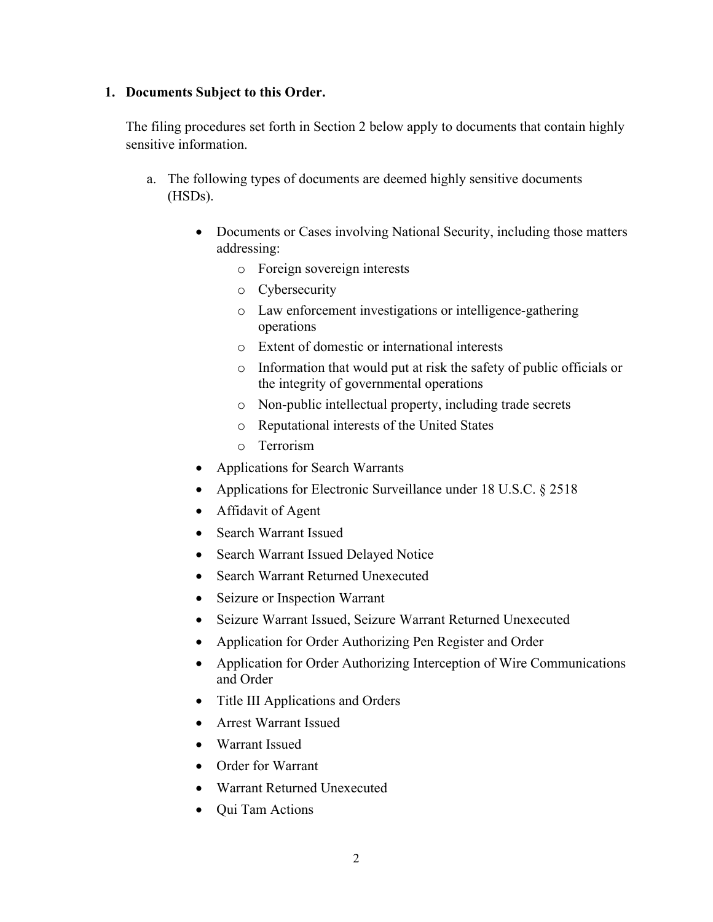#### **1. Documents Subject to this Order.**

The filing procedures set forth in Section 2 below apply to documents that contain highly sensitive information.

- a. The following types of documents are deemed highly sensitive documents (HSDs).
	- Documents or Cases involving National Security, including those matters addressing:
		- o Foreign sovereign interests
		- o Cybersecurity
		- o Law enforcement investigations or intelligence-gathering operations
		- o Extent of domestic or international interests
		- o Information that would put at risk the safety of public officials or the integrity of governmental operations
		- o Non-public intellectual property, including trade secrets
		- o Reputational interests of the United States
		- o Terrorism
	- Applications for Search Warrants
	- Applications for Electronic Surveillance under 18 U.S.C. § 2518
	- Affidavit of Agent
	- Search Warrant Issued
	- Search Warrant Issued Delayed Notice
	- Search Warrant Returned Unexecuted
	- Seizure or Inspection Warrant
	- Seizure Warrant Issued, Seizure Warrant Returned Unexecuted
	- Application for Order Authorizing Pen Register and Order
	- Application for Order Authorizing Interception of Wire Communications and Order
	- Title III Applications and Orders
	- Arrest Warrant Issued
	- Warrant Issued
	- Order for Warrant
	- Warrant Returned Unexecuted
	- Qui Tam Actions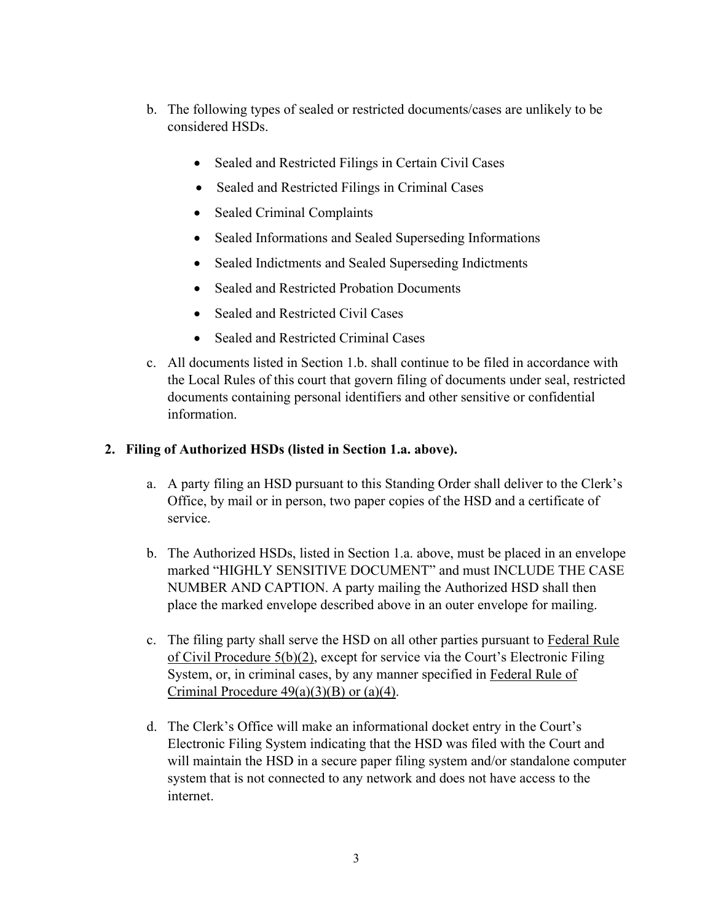- b. The following types of sealed or restricted documents/cases are unlikely to be considered HSDs.
	- Sealed and Restricted Filings in Certain Civil Cases
	- Sealed and Restricted Filings in Criminal Cases
	- Sealed Criminal Complaints
	- Sealed Informations and Sealed Superseding Informations
	- Sealed Indictments and Sealed Superseding Indictments
	- Sealed and Restricted Probation Documents
	- Sealed and Restricted Civil Cases
	- Sealed and Restricted Criminal Cases
- c. All documents listed in Section 1.b. shall continue to be filed in accordance with the Local Rules of this court that govern filing of documents under seal, restricted documents containing personal identifiers and other sensitive or confidential information.

## **2. Filing of Authorized HSDs (listed in Section 1.a. above).**

- a. A party filing an HSD pursuant to this Standing Order shall deliver to the Clerk's Office, by mail or in person, two paper copies of the HSD and a certificate of service.
- b. The Authorized HSDs, listed in Section 1.a. above, must be placed in an envelope marked "HIGHLY SENSITIVE DOCUMENT" and must INCLUDE THE CASE NUMBER AND CAPTION. A party mailing the Authorized HSD shall then place the marked envelope described above in an outer envelope for mailing.
- c. The filing party shall serve the HSD on all other parties pursuant to [Federal Rule](https://www.law.cornell.edu/rules/frcp/rule_5)  [of Civil Procedure 5\(b\)\(2\),](https://www.law.cornell.edu/rules/frcp/rule_5) except for service via the Court's Electronic Filing System, or, in criminal cases, by any manner specified in [Federal Rule of](https://www.law.cornell.edu/rules/frcrmp/rule_49)  Criminal Procedure  $49(a)(3)(B)$  or  $(a)(4)$ .
- d. The Clerk's Office will make an informational docket entry in the Court's Electronic Filing System indicating that the HSD was filed with the Court and will maintain the HSD in a secure paper filing system and/or standalone computer system that is not connected to any network and does not have access to the internet.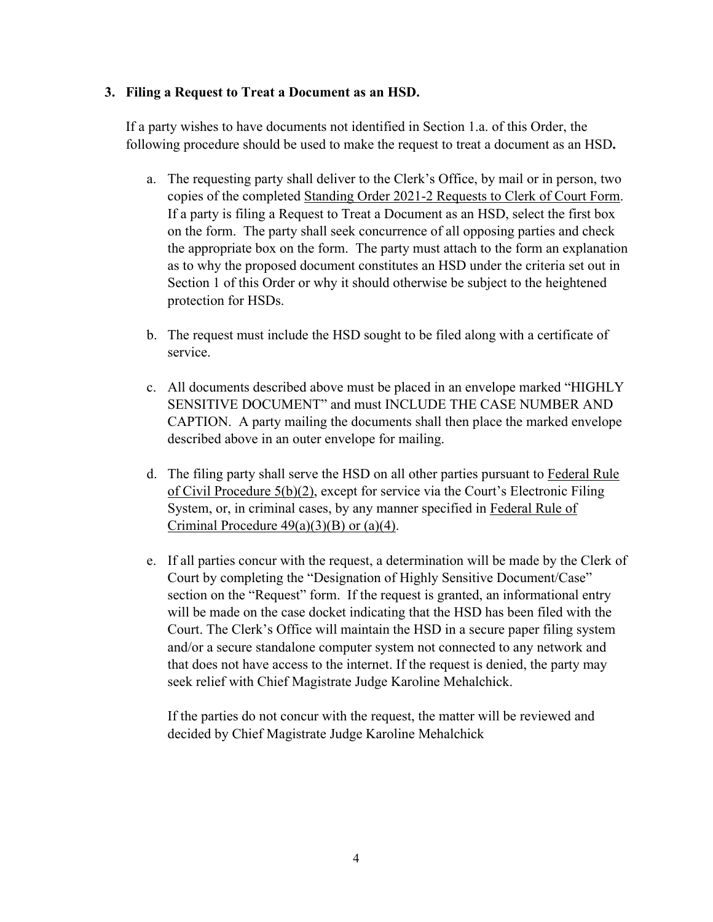## **3. Filing a Request to Treat a Document as an HSD.**

If a party wishes to have documents not identified in Section 1.a. of this Order, the following procedure should be used to make the request to treat a document as an HSD**.**

- a. The requesting party shall deliver to the Clerk's Office, by mail or in person, two copies of the completed [Standing Order 2021-2 Requests to Clerk of Court Form.](http://pamd-dev.jdc.ao.dcn/sites/pamd/files/forms/HSDFormFinal.pdf) If a party is filing a Request to Treat a Document as an HSD, select the first box on the form. The party shall seek concurrence of all opposing parties and check the appropriate box on the form. The party must attach to the form an explanation as to why the proposed document constitutes an HSD under the criteria set out in Section 1 of this Order or why it should otherwise be subject to the heightened protection for HSDs.
- b. The request must include the HSD sought to be filed along with a certificate of service.
- c. All documents described above must be placed in an envelope marked "HIGHLY SENSITIVE DOCUMENT" and must INCLUDE THE CASE NUMBER AND CAPTION. A party mailing the documents shall then place the marked envelope described above in an outer envelope for mailing.
- d. The filing party shall serve the HSD on all other parties pursuant to [Federal Rule](https://www.law.cornell.edu/rules/frcp/rule_5)  [of Civil Procedure 5\(b\)\(2\),](https://www.law.cornell.edu/rules/frcp/rule_5) except for service via the Court's Electronic Filing System, or, in criminal cases, by any manner specified in [Federal Rule of](https://www.law.cornell.edu/rules/frcrmp/rule_49)  Criminal Procedure  $49(a)(3)(B)$  or  $(a)(4)$ .
- e. If all parties concur with the request, a determination will be made by the Clerk of Court by completing the "Designation of Highly Sensitive Document/Case" section on the "Request" form. If the request is granted, an informational entry will be made on the case docket indicating that the HSD has been filed with the Court. The Clerk's Office will maintain the HSD in a secure paper filing system and/or a secure standalone computer system not connected to any network and that does not have access to the internet. If the request is denied, the party may seek relief with Chief Magistrate Judge Karoline Mehalchick.

If the parties do not concur with the request, the matter will be reviewed and decided by Chief Magistrate Judge Karoline Mehalchick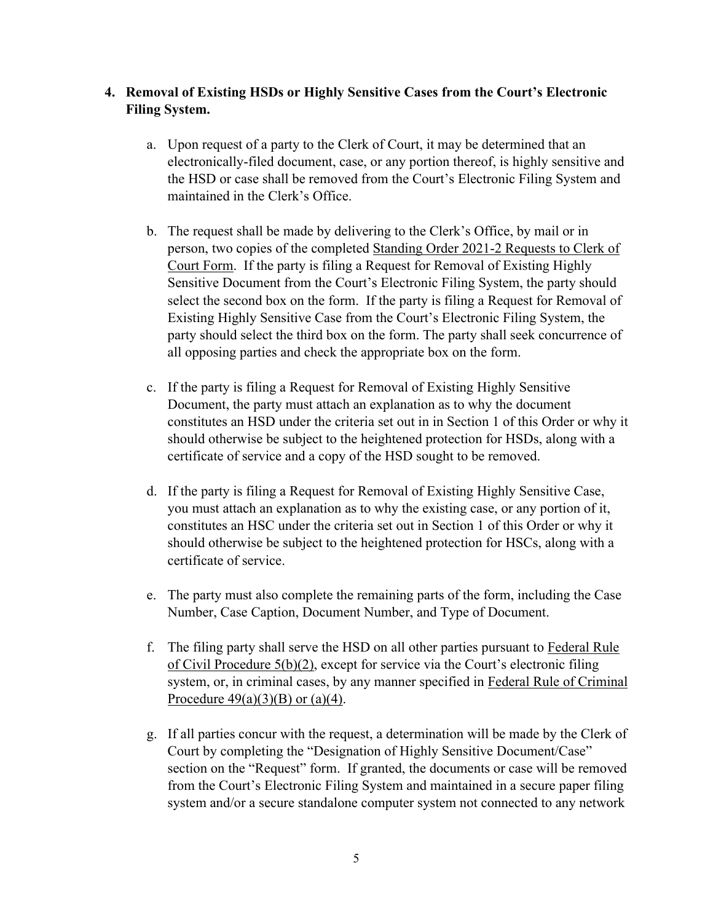# **4. Removal of Existing HSDs or Highly Sensitive Cases from the Court's Electronic Filing System.**

- a. Upon request of a party to the Clerk of Court, it may be determined that an electronically-filed document, case, or any portion thereof, is highly sensitive and the HSD or case shall be removed from the Court's Electronic Filing System and maintained in the Clerk's Office.
- b. The request shall be made by delivering to the Clerk's Office, by mail or in person, two copies of the completed [Standing Order 2021-2 Requests to Clerk of](http://pamd-dev.jdc.ao.dcn/sites/pamd/files/forms/HSDFormFinal.pdf)  [Court Form.](http://pamd-dev.jdc.ao.dcn/sites/pamd/files/forms/HSDFormFinal.pdf) If the party is filing a Request for Removal of Existing Highly Sensitive Document from the Court's Electronic Filing System, the party should select the second box on the form. If the party is filing a Request for Removal of Existing Highly Sensitive Case from the Court's Electronic Filing System, the party should select the third box on the form. The party shall seek concurrence of all opposing parties and check the appropriate box on the form.
- c. If the party is filing a Request for Removal of Existing Highly Sensitive Document, the party must attach an explanation as to why the document constitutes an HSD under the criteria set out in in Section 1 of this Order or why it should otherwise be subject to the heightened protection for HSDs, along with a certificate of service and a copy of the HSD sought to be removed.
- d. If the party is filing a Request for Removal of Existing Highly Sensitive Case, you must attach an explanation as to why the existing case, or any portion of it, constitutes an HSC under the criteria set out in Section 1 of this Order or why it should otherwise be subject to the heightened protection for HSCs, along with a certificate of service.
- e. The party must also complete the remaining parts of the form, including the Case Number, Case Caption, Document Number, and Type of Document.
- f. The filing party shall serve the HSD on all other parties pursuant to [Federal Rule](https://www.law.cornell.edu/rules/frcp/rule_5)  [of Civil Procedure 5\(b\)\(2\),](https://www.law.cornell.edu/rules/frcp/rule_5) except for service via the Court's electronic filing system, or, in criminal cases, by any manner specified in [Federal Rule of Criminal](https://www.law.cornell.edu/rules/frcrmp/rule_49)  Procedure  $49(a)(3)(B)$  or  $(a)(4)$ .
- g. If all parties concur with the request, a determination will be made by the Clerk of Court by completing the "Designation of Highly Sensitive Document/Case" section on the "Request" form. If granted, the documents or case will be removed from the Court's Electronic Filing System and maintained in a secure paper filing system and/or a secure standalone computer system not connected to any network